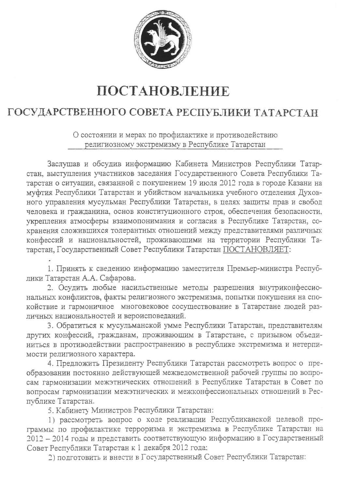

## ПОСТАНОВЛЕНИЕ

## ГОСУДАРСТВЕННОГО СОВЕТА РЕСПУБЛИКИ ТАТАРСТАН

О состоянии и мерах по профилактике и противодействию религиозному экстремизму в Республике Татарстан

Заслушав и обсудив информацию Кабинета Министров Республики Татарстан, выступления участников заседания Государственного Совета Республики Татарстан о ситуации, связанной с покушением 19 июля 2012 года в городе Казани на муфтия Республики Татарстан и убийством начальника учебного отделения Духовного управления мусульман Республики Татарстан, в целях защиты прав и свобод человека и гражданина, основ конституционного строя, обеспечения безопасности, укрепления атмосферы взаимопонимания и согласия в Республике Татарстан, сохранения сложившихся толерантных отношений между представителями различных конфессий и национальностей, проживающими на территории Республики Татарстан, Государственный Совет Республики Татарстан ПОСТАНОВЛЯЕТ:

1. Принять к сведению информацию заместителя Премьер-министра Республики Татарстан А.А. Сафарова.

2. Осудить любые насильственные методы разрешения внутриконфессиональных конфликтов, факты религиозного экстремизма, попытки покушения на спокойствие и гармоничное многовековое сосуществование в Татарстане людей различных национальностей и вероисповеданий.

3. Обратиться к мусульманской умме Республики Татарстан, представителям других конфессий, гражданам, проживающим в Татарстане, с призывом объединиться в противодействии распространению в республике экстремизма и нетерпимости религиозного характера.

4. Предложить Президенту Республики Татарстан рассмотреть вопрос о преобразовании постоянно действующей межведомственной рабочей группы по вопросам гармонизации межэтнических отношений в Республике Татарстан в Совет по вопросам гармонизации межэтнических и межконфессиональных отношений в Республике Татарстан.

5. Кабинету Министров Республики Татарстан:

1) рассмотреть вопрос о ходе реализации Республиканской целевой программы по профилактике терроризма и экстремизма в Республике Татарстан на 2012 - 2014 годы и представить соответствующую информацию в Государственный Совет Республики Татарстан к 1 декабря 2012 года:

2) подготовить и внести в Государственный Совет Республики Татарстан: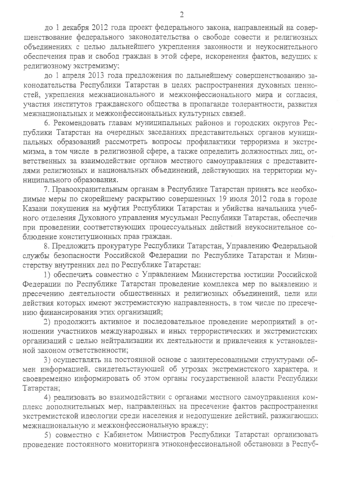до 1 декабря 2012 года проект федерального закона, направленный на совершенствование федерального законодательства о свободе совести и религиозных объединениях с целью дальнейшего укрепления законности и неукоснительного обеспечения прав и свобод граждан в этой сфере, искоренения фактов, ведущих к религиозному экстремизму;

до 1 апреля 2013 года предложения по дальнейшему совершенствованию законодательства Республики Татарстан в целях распространения духовных ценностей, укрепления межнационального и межконфессионального мира и согласия, участия институтов гражданского общества в пропаганде толерантности, развития межнациональных и межконфессиональных культурных связей.

6. Рекомендовать главам муниципальных районов и городских округов Республики Татарстан на очередных заседаниях представительных органов муниципальных образований рассмотреть вопросы профилактики терроризма и экстремизма, в том числе в религиозной сфере, а также определить должностных лиц, ответственных за взаимодействие органов местного самоуправления с представителями религиозных и национальных объединений, действующих на территории муниципального образования.

7. Правоохранительным органам в Республике Татарстан принять все необходимые меры по скорейшему раскрытию совершенных 19 июля 2012 года в городе Казани покушения на муфтия Республики Татарстан и убийства начальника учебного отделения Духовного управления мусульман Республики Татарстан, обеспечив при проведении соответствующих процессуальных действий неукоснительное соблюдение конституционных прав граждан.

8. Предложить прокуратуре Республики Татарстан, Управлению Федеральной службы безопасности Российской Федерации по Республике Татарстан и Министерству внутренних дел по Республике Татарстан:

1) обеспечить совместно с Управлением Министерства юстиции Российской Федерации по Республике Татарстан проведение комплекса мер по выявлению и пресечению деятельности общественных и религиозных объединений, цели или действия которых имеют экстремистскую направленность, в том числе по пресечению финансирования этих организаций;

2) продолжить активное и последовательное проведение мероприятий в отношении участников международных и иных террористических и экстремистских организаций с целью нейтрализации их деятельности и привлечения к установленной законом ответственности:

3) осуществлять на постоянной основе с заинтересованными структурами обмен информацией, свидетельствующей об угрозах экстремистского характера, и своевременно информировать об этом органы государственной власти Республики Татарстан;

4) реализовать во взаимодействии с органами местного самоуправления комплекс дополнительных мер, направленных на пресечение фактов распространения экстремистской идеологии среди населения и недопущение действий, разжигающих межнациональную и межконфессиональную вражду;

5) совместно с Кабинетом Министров Республики Татарстан организовать проведение постоянного мониторинга этноконфессиональной обстановки в Респуб-